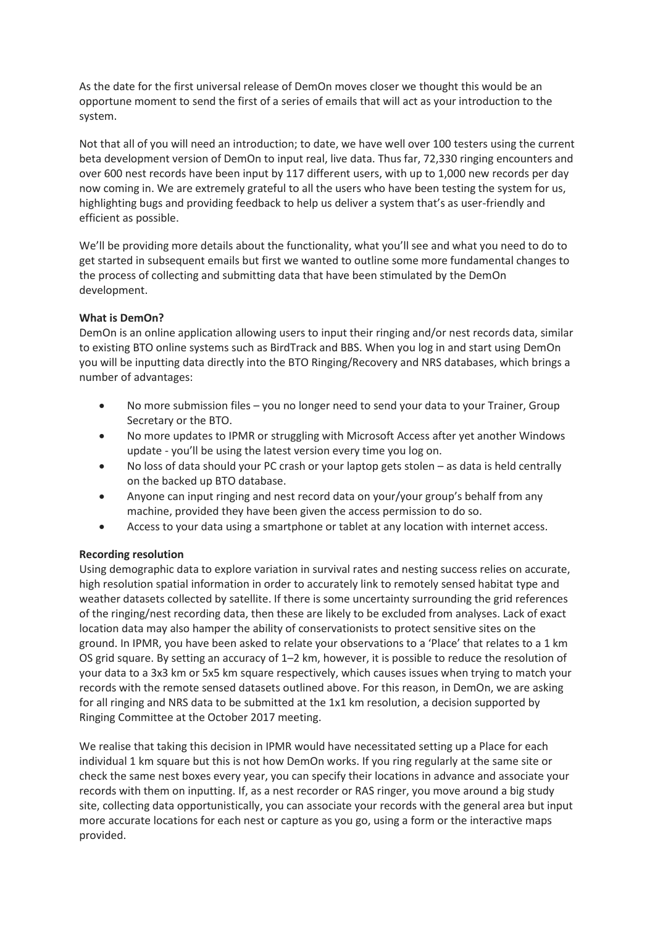As the date for the first universal release of DemOn moves closer we thought this would be an opportune moment to send the first of a series of emails that will act as your introduction to the system.

Not that all of you will need an introduction; to date, we have well over 100 testers using the current beta development version of DemOn to input real, live data. Thus far, 72,330 ringing encounters and over 600 nest records have been input by 117 different users, with up to 1,000 new records per day now coming in. We are extremely grateful to all the users who have been testing the system for us, highlighting bugs and providing feedback to help us deliver a system that's as user-friendly and efficient as possible.

We'll be providing more details about the functionality, what you'll see and what you need to do to get started in subsequent emails but first we wanted to outline some more fundamental changes to the process of collecting and submitting data that have been stimulated by the DemOn development.

## **What is DemOn?**

DemOn is an online application allowing users to input their ringing and/or nest records data, similar to existing BTO online systems such as BirdTrack and BBS. When you log in and start using DemOn you will be inputting data directly into the BTO Ringing/Recovery and NRS databases, which brings a number of advantages:

- No more submission files you no longer need to send your data to your Trainer, Group Secretary or the BTO.
- No more updates to IPMR or struggling with Microsoft Access after yet another Windows update - you'll be using the latest version every time you log on.
- No loss of data should your PC crash or your laptop gets stolen as data is held centrally on the backed up BTO database.
- Anyone can input ringing and nest record data on your/your group's behalf from any machine, provided they have been given the access permission to do so.
- Access to your data using a smartphone or tablet at any location with internet access.

## **Recording resolution**

Using demographic data to explore variation in survival rates and nesting success relies on accurate, high resolution spatial information in order to accurately link to remotely sensed habitat type and weather datasets collected by satellite. If there is some uncertainty surrounding the grid references of the ringing/nest recording data, then these are likely to be excluded from analyses. Lack of exact location data may also hamper the ability of conservationists to protect sensitive sites on the ground. In IPMR, you have been asked to relate your observations to a 'Place' that relates to a 1 km OS grid square. By setting an accuracy of 1–2 km, however, it is possible to reduce the resolution of your data to a 3x3 km or 5x5 km square respectively, which causes issues when trying to match your records with the remote sensed datasets outlined above. For this reason, in DemOn, we are asking for all ringing and NRS data to be submitted at the 1x1 km resolution, a decision supported by Ringing Committee at the October 2017 meeting.

We realise that taking this decision in IPMR would have necessitated setting up a Place for each individual 1 km square but this is not how DemOn works. If you ring regularly at the same site or check the same nest boxes every year, you can specify their locations in advance and associate your records with them on inputting. If, as a nest recorder or RAS ringer, you move around a big study site, collecting data opportunistically, you can associate your records with the general area but input more accurate locations for each nest or capture as you go, using a form or the interactive maps provided.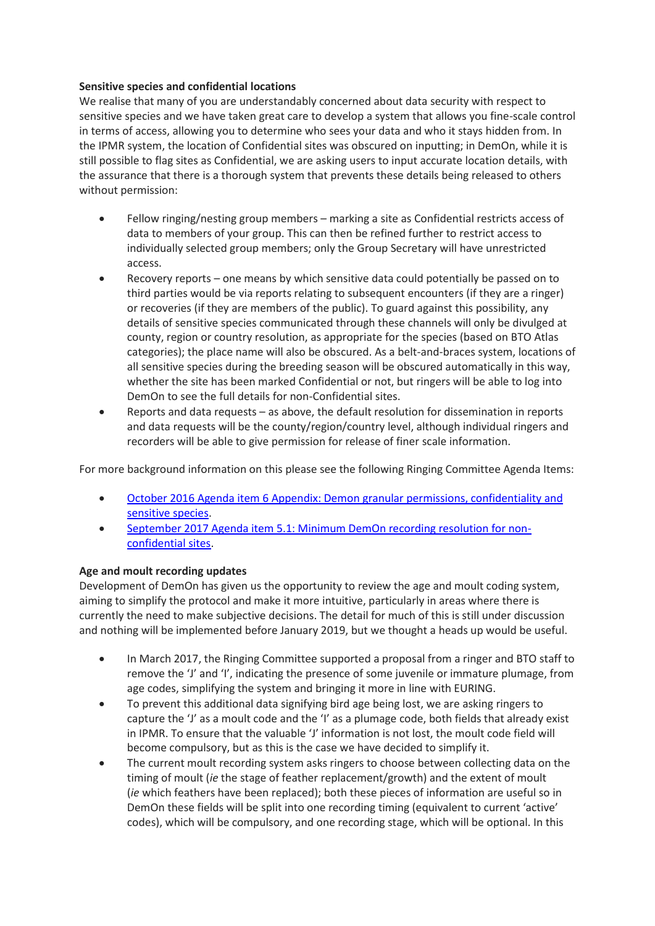## **Sensitive species and confidential locations**

We realise that many of you are understandably concerned about data security with respect to sensitive species and we have taken great care to develop a system that allows you fine-scale control in terms of access, allowing you to determine who sees your data and who it stays hidden from. In the IPMR system, the location of Confidential sites was obscured on inputting; in DemOn, while it is still possible to flag sites as Confidential, we are asking users to input accurate location details, with the assurance that there is a thorough system that prevents these details being released to others without permission:

- Fellow ringing/nesting group members marking a site as Confidential restricts access of data to members of your group. This can then be refined further to restrict access to individually selected group members; only the Group Secretary will have unrestricted access.
- Recovery reports one means by which sensitive data could potentially be passed on to third parties would be via reports relating to subsequent encounters (if they are a ringer) or recoveries (if they are members of the public). To guard against this possibility, any details of sensitive species communicated through these channels will only be divulged at county, region or country resolution, as appropriate for the species (based on BTO Atlas categories); the place name will also be obscured. As a belt-and-braces system, locations of all sensitive species during the breeding season will be obscured automatically in this way, whether the site has been marked Confidential or not, but ringers will be able to log into DemOn to see the full details for non-Confidential sites.
- Reports and data requests as above, the default resolution for dissemination in reports and data requests will be the county/region/country level, although individual ringers and recorders will be able to give permission for release of finer scale information.

For more background information on this please see the following Ringing Committee Agenda Items:

- October 2016 [Agenda item 6 Appendix: Demon granular permissions, confidentiality and](https://app.bto.org/ringers/ringers/r_committee/RINOCT16_2_Demon%20update.pdf)  [sensitive species.](https://app.bto.org/ringers/ringers/r_committee/RINOCT16_2_Demon%20update.pdf)
- [September 2017 Agenda item 5.1: Minimum DemOn recording resolution for non](https://app.bto.org/ringers/ringers/r_committee/RINSEP17_5.1_Minimim%20DemOn%20recording%20resolution%20for%20non-conf%20sites.pdf)[confidential sites.](https://app.bto.org/ringers/ringers/r_committee/RINSEP17_5.1_Minimim%20DemOn%20recording%20resolution%20for%20non-conf%20sites.pdf)

## **Age and moult recording updates**

Development of DemOn has given us the opportunity to review the age and moult coding system, aiming to simplify the protocol and make it more intuitive, particularly in areas where there is currently the need to make subjective decisions. The detail for much of this is still under discussion and nothing will be implemented before January 2019, but we thought a heads up would be useful.

- In March 2017, the Ringing Committee supported a proposal from a ringer and BTO staff to remove the 'J' and 'I', indicating the presence of some juvenile or immature plumage, from age codes, simplifying the system and bringing it more in line with EURING.
- To prevent this additional data signifying bird age being lost, we are asking ringers to capture the 'J' as a moult code and the 'I' as a plumage code, both fields that already exist in IPMR. To ensure that the valuable 'J' information is not lost, the moult code field will become compulsory, but as this is the case we have decided to simplify it.
- The current moult recording system asks ringers to choose between collecting data on the timing of moult (*ie* the stage of feather replacement/growth) and the extent of moult (*ie* which feathers have been replaced); both these pieces of information are useful so in DemOn these fields will be split into one recording timing (equivalent to current 'active' codes), which will be compulsory, and one recording stage, which will be optional. In this